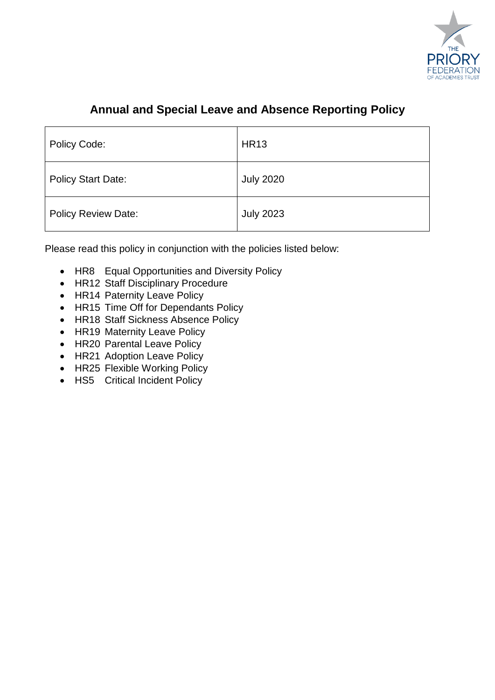

# **Annual and Special Leave and Absence Reporting Policy**

| Policy Code:               | <b>HR13</b>      |
|----------------------------|------------------|
| <b>Policy Start Date:</b>  | <b>July 2020</b> |
| <b>Policy Review Date:</b> | <b>July 2023</b> |

Please read this policy in conjunction with the policies listed below:

- HR8 Equal Opportunities and Diversity Policy
- HR12 Staff Disciplinary Procedure
- HR14 Paternity Leave Policy
- HR15 Time Off for Dependants Policy
- HR18 Staff Sickness Absence Policy
- HR19 Maternity Leave Policy
- HR20 Parental Leave Policy
- HR21 Adoption Leave Policy
- HR25 Flexible Working Policy
- HS5 Critical Incident Policy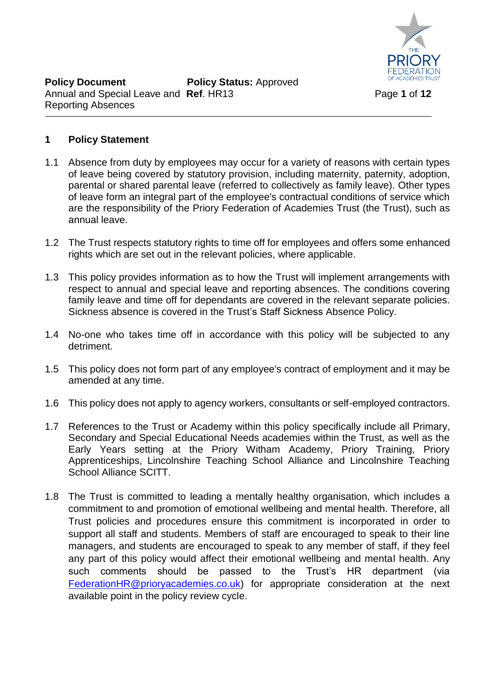

# **1 Policy Statement**

- 1.1 Absence from duty by employees may occur for a variety of reasons with certain types of leave being covered by statutory provision, including maternity, paternity, adoption, parental or shared parental leave (referred to collectively as family leave). Other types of leave form an integral part of the employee's contractual conditions of service which are the responsibility of the Priory Federation of Academies Trust (the Trust), such as annual leave.
- 1.2 The Trust respects statutory rights to time off for employees and offers some enhanced rights which are set out in the relevant policies, where applicable.
- 1.3 This policy provides information as to how the Trust will implement arrangements with respect to annual and special leave and reporting absences. The conditions covering family leave and time off for dependants are covered in the relevant separate policies. Sickness absence is covered in the Trust's Staff Sickness Absence Policy.
- 1.4 No-one who takes time off in accordance with this policy will be subjected to any detriment.
- 1.5 This policy does not form part of any employee's contract of employment and it may be amended at any time.
- 1.6 This policy does not apply to agency workers, consultants or self-employed contractors.
- 1.7 References to the Trust or Academy within this policy specifically include all Primary, Secondary and Special Educational Needs academies within the Trust, as well as the Early Years setting at the Priory Witham Academy, Priory Training, Priory Apprenticeships, Lincolnshire Teaching School Alliance and Lincolnshire Teaching School Alliance SCITT.
- 1.8 The Trust is committed to leading a mentally healthy organisation, which includes a commitment to and promotion of emotional wellbeing and mental health. Therefore, all Trust policies and procedures ensure this commitment is incorporated in order to support all staff and students. Members of staff are encouraged to speak to their line managers, and students are encouraged to speak to any member of staff, if they feel any part of this policy would affect their emotional wellbeing and mental health. Any such comments should be passed to the Trust's HR department (via [FederationHR@prioryacademies.co.uk\)](mailto:FederationHR@prioryacademies.co.uk) for appropriate consideration at the next available point in the policy review cycle.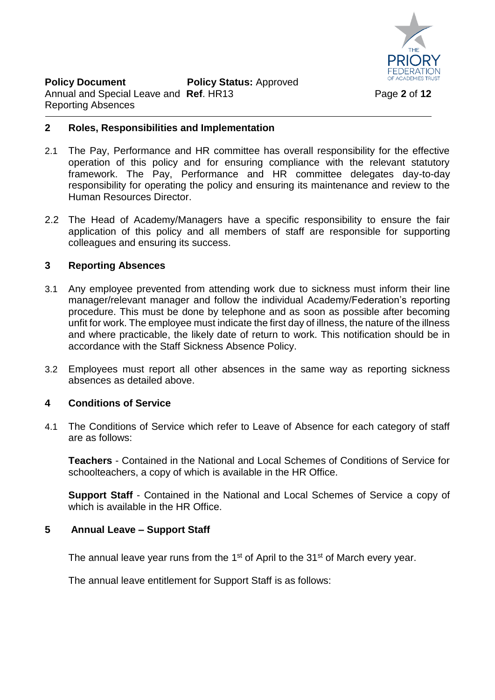

#### **2 Roles, Responsibilities and Implementation**

- 2.1 The Pay, Performance and HR committee has overall responsibility for the effective operation of this policy and for ensuring compliance with the relevant statutory framework. The Pay, Performance and HR committee delegates day-to-day responsibility for operating the policy and ensuring its maintenance and review to the Human Resources Director.
- 2.2 The Head of Academy/Managers have a specific responsibility to ensure the fair application of this policy and all members of staff are responsible for supporting colleagues and ensuring its success.

# **3 Reporting Absences**

- 3.1 Any employee prevented from attending work due to sickness must inform their line manager/relevant manager and follow the individual Academy/Federation's reporting procedure. This must be done by telephone and as soon as possible after becoming unfit for work. The employee must indicate the first day of illness, the nature of the illness and where practicable, the likely date of return to work. This notification should be in accordance with the Staff Sickness Absence Policy.
- 3.2 Employees must report all other absences in the same way as reporting sickness absences as detailed above.

#### **4 Conditions of Service**

4.1 The Conditions of Service which refer to Leave of Absence for each category of staff are as follows:

**Teachers** - Contained in the National and Local Schemes of Conditions of Service for schoolteachers, a copy of which is available in the HR Office.

**Support Staff** - Contained in the National and Local Schemes of Service a copy of which is available in the HR Office

#### **5 Annual Leave – Support Staff**

The annual leave year runs from the 1<sup>st</sup> of April to the 31<sup>st</sup> of March every year.

The annual leave entitlement for Support Staff is as follows: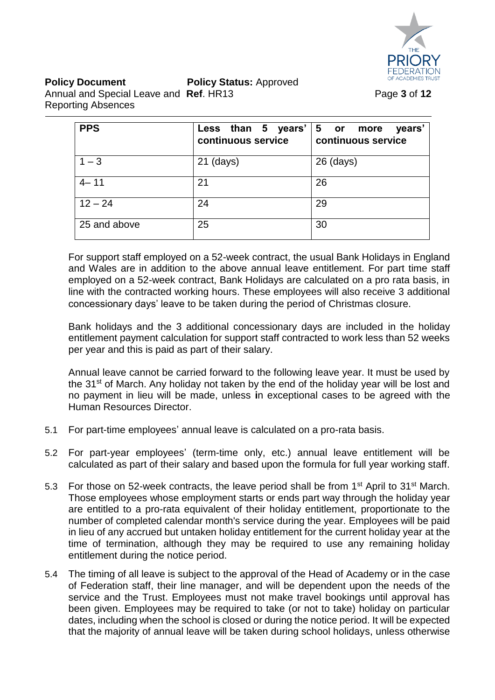

| <b>PPS</b>   | Less than 5 years' $ 5$ or more<br>continuous service | years'<br>continuous service |
|--------------|-------------------------------------------------------|------------------------------|
| $1 - 3$      | $21$ (days)                                           | $26$ (days)                  |
| $4 - 11$     | 21                                                    | 26                           |
| $12 - 24$    | 24                                                    | 29                           |
| 25 and above | 25                                                    | 30                           |

For support staff employed on a 52-week contract, the usual Bank Holidays in England and Wales are in addition to the above annual leave entitlement. For part time staff employed on a 52-week contract, Bank Holidays are calculated on a pro rata basis, in line with the contracted working hours. These employees will also receive 3 additional concessionary days' leave to be taken during the period of Christmas closure.

Bank holidays and the 3 additional concessionary days are included in the holiday entitlement payment calculation for support staff contracted to work less than 52 weeks per year and this is paid as part of their salary.

Annual leave cannot be carried forward to the following leave year. It must be used by the 31<sup>st</sup> of March. Any holiday not taken by the end of the holiday year will be lost and no payment in lieu will be made, unless **i**n exceptional cases to be agreed with the Human Resources Director.

- 5.1 For part-time employees' annual leave is calculated on a pro-rata basis.
- 5.2 For part-year employees' (term-time only, etc.) annual leave entitlement will be calculated as part of their salary and based upon the formula for full year working staff.
- 5.3 For those on 52-week contracts, the leave period shall be from 1<sup>st</sup> April to 31<sup>st</sup> March. Those employees whose employment starts or ends part way through the holiday year are entitled to a pro-rata equivalent of their holiday entitlement, proportionate to the number of completed calendar month's service during the year. Employees will be paid in lieu of any accrued but untaken holiday entitlement for the current holiday year at the time of termination, although they may be required to use any remaining holiday entitlement during the notice period.
- 5.4 The timing of all leave is subject to the approval of the Head of Academy or in the case of Federation staff, their line manager, and will be dependent upon the needs of the service and the Trust. Employees must not make travel bookings until approval has been given. Employees may be required to take (or not to take) holiday on particular dates, including when the school is closed or during the notice period. It will be expected that the majority of annual leave will be taken during school holidays, unless otherwise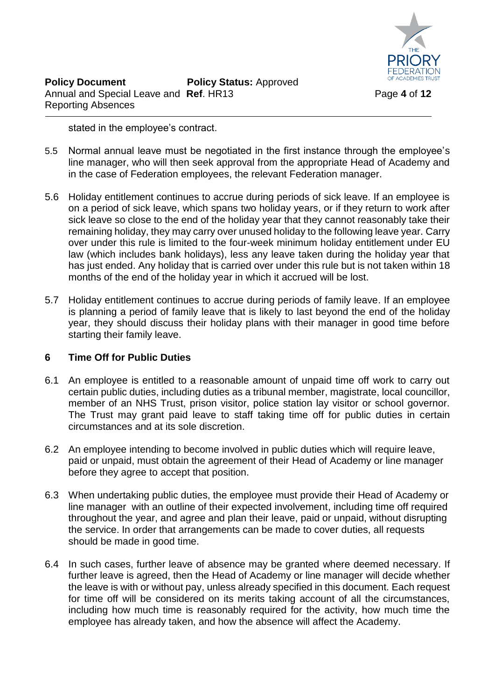

stated in the employee's contract.

- 5.5 Normal annual leave must be negotiated in the first instance through the employee's line manager, who will then seek approval from the appropriate Head of Academy and in the case of Federation employees, the relevant Federation manager.
- 5.6 Holiday entitlement continues to accrue during periods of sick leave. If an employee is on a period of sick leave, which spans two holiday years, or if they return to work after sick leave so close to the end of the holiday year that they cannot reasonably take their remaining holiday, they may carry over unused holiday to the following leave year. Carry over under this rule is limited to the four-week minimum holiday entitlement under EU law (which includes bank holidays), less any leave taken during the holiday year that has just ended. Any holiday that is carried over under this rule but is not taken within 18 months of the end of the holiday year in which it accrued will be lost.
- 5.7 Holiday entitlement continues to accrue during periods of family leave. If an employee is planning a period of family leave that is likely to last beyond the end of the holiday year, they should discuss their holiday plans with their manager in good time before starting their family leave.

# **6 Time Off for Public Duties**

- 6.1 An employee is entitled to a reasonable amount of unpaid time off work to carry out certain public duties, including duties as a tribunal member, magistrate, local councillor, member of an NHS Trust, prison visitor, police station lay visitor or school governor. The Trust may grant paid leave to staff taking time off for public duties in certain circumstances and at its sole discretion.
- 6.2 An employee intending to become involved in public duties which will require leave, paid or unpaid, must obtain the agreement of their Head of Academy or line manager before they agree to accept that position.
- 6.3 When undertaking public duties, the employee must provide their Head of Academy or line manager with an outline of their expected involvement, including time off required throughout the year, and agree and plan their leave, paid or unpaid, without disrupting the service. In order that arrangements can be made to cover duties, all requests should be made in good time.
- 6.4 In such cases, further leave of absence may be granted where deemed necessary. If further leave is agreed, then the Head of Academy or line manager will decide whether the leave is with or without pay, unless already specified in this document. Each request for time off will be considered on its merits taking account of all the circumstances, including how much time is reasonably required for the activity, how much time the employee has already taken, and how the absence will affect the Academy.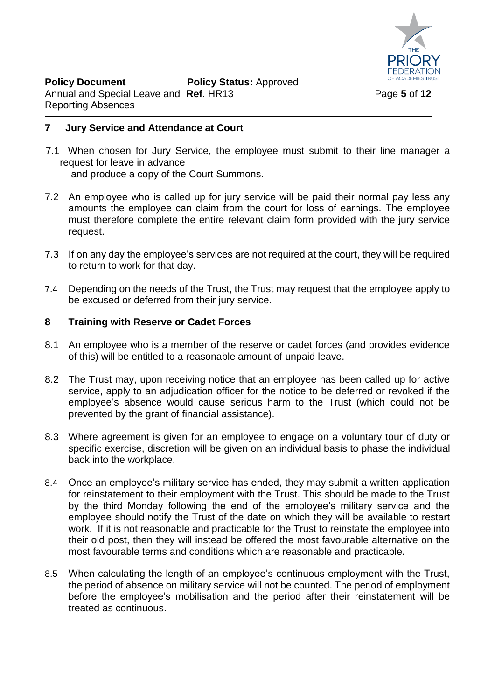

#### **7 Jury Service and Attendance at Court**

7.1 When chosen for Jury Service, the employee must submit to their line manager a request for leave in advance and produce a copy of the Court Summons.

- 7.2 An employee who is called up for jury service will be paid their normal pay less any amounts the employee can claim from the court for loss of earnings. The employee must therefore complete the entire relevant claim form provided with the jury service request.
- 7.3 If on any day the employee's services are not required at the court, they will be required to return to work for that day.
- 7.4 Depending on the needs of the Trust, the Trust may request that the employee apply to be excused or deferred from their jury service.

#### **8 Training with Reserve or Cadet Forces**

- 8.1 An employee who is a member of the reserve or cadet forces (and provides evidence of this) will be entitled to a reasonable amount of unpaid leave.
- 8.2 The Trust may, upon receiving notice that an employee has been called up for active service, apply to an adjudication officer for the notice to be deferred or revoked if the employee's absence would cause serious harm to the Trust (which could not be prevented by the grant of financial assistance).
- 8.3 Where agreement is given for an employee to engage on a voluntary tour of duty or specific exercise, discretion will be given on an individual basis to phase the individual back into the workplace.
- 8.4 Once an employee's military service has ended, they may submit a written application for reinstatement to their employment with the Trust. This should be made to the Trust by the third Monday following the end of the employee's military service and the employee should notify the Trust of the date on which they will be available to restart work. If it is not reasonable and practicable for the Trust to reinstate the employee into their old post, then they will instead be offered the most favourable alternative on the most favourable terms and conditions which are reasonable and practicable.
- 8.5 When calculating the length of an employee's continuous employment with the Trust, the period of absence on military service will not be counted. The period of employment before the employee's mobilisation and the period after their reinstatement will be treated as continuous.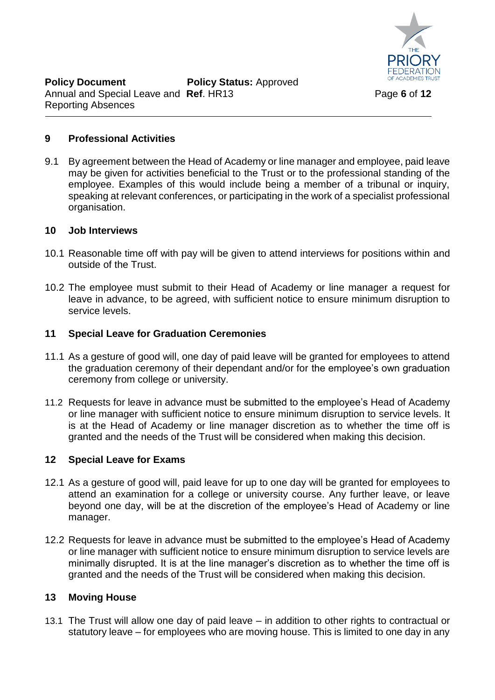

# **9 Professional Activities**

9.1 By agreement between the Head of Academy or line manager and employee, paid leave may be given for activities beneficial to the Trust or to the professional standing of the employee. Examples of this would include being a member of a tribunal or inquiry, speaking at relevant conferences, or participating in the work of a specialist professional organisation.

#### **10 Job Interviews**

- 10.1 Reasonable time off with pay will be given to attend interviews for positions within and outside of the Trust.
- 10.2 The employee must submit to their Head of Academy or line manager a request for leave in advance, to be agreed, with sufficient notice to ensure minimum disruption to service levels.

#### **11 Special Leave for Graduation Ceremonies**

- 11.1 As a gesture of good will, one day of paid leave will be granted for employees to attend the graduation ceremony of their dependant and/or for the employee's own graduation ceremony from college or university.
- 11.2 Requests for leave in advance must be submitted to the employee's Head of Academy or line manager with sufficient notice to ensure minimum disruption to service levels. It is at the Head of Academy or line manager discretion as to whether the time off is granted and the needs of the Trust will be considered when making this decision.

#### **12 Special Leave for Exams**

- 12.1 As a gesture of good will, paid leave for up to one day will be granted for employees to attend an examination for a college or university course. Any further leave, or leave beyond one day, will be at the discretion of the employee's Head of Academy or line manager.
- 12.2 Requests for leave in advance must be submitted to the employee's Head of Academy or line manager with sufficient notice to ensure minimum disruption to service levels are minimally disrupted. It is at the line manager's discretion as to whether the time off is granted and the needs of the Trust will be considered when making this decision.

#### **13 Moving House**

13.1 The Trust will allow one day of paid leave – in addition to other rights to contractual or statutory leave – for employees who are moving house. This is limited to one day in any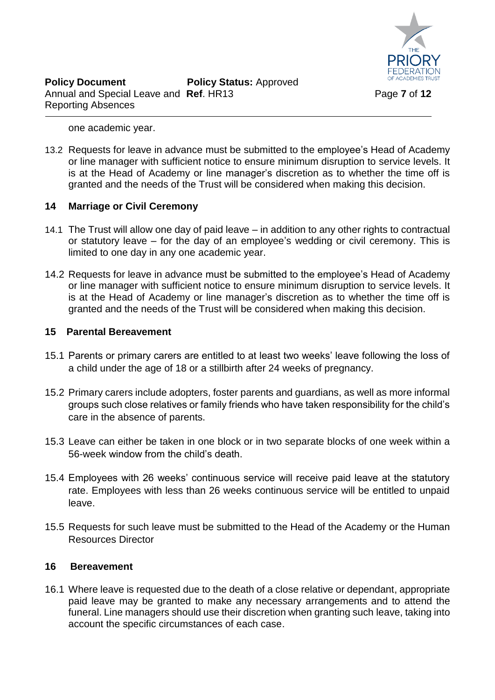

one academic year.

13.2 Requests for leave in advance must be submitted to the employee's Head of Academy or line manager with sufficient notice to ensure minimum disruption to service levels. It is at the Head of Academy or line manager's discretion as to whether the time off is granted and the needs of the Trust will be considered when making this decision.

# **14 Marriage or Civil Ceremony**

- 14.1 The Trust will allow one day of paid leave in addition to any other rights to contractual or statutory leave – for the day of an employee's wedding or civil ceremony. This is limited to one day in any one academic year.
- 14.2 Requests for leave in advance must be submitted to the employee's Head of Academy or line manager with sufficient notice to ensure minimum disruption to service levels. It is at the Head of Academy or line manager's discretion as to whether the time off is granted and the needs of the Trust will be considered when making this decision.

# **15 Parental Bereavement**

- 15.1 Parents or primary carers are entitled to at least two weeks' leave following the loss of a child under the age of 18 or a stillbirth after 24 weeks of pregnancy.
- 15.2 Primary carers include adopters, foster parents and guardians, as well as more informal groups such close relatives or family friends who have taken responsibility for the child's care in the absence of parents.
- 15.3 Leave can either be taken in one block or in two separate blocks of one week within a 56-week window from the child's death.
- 15.4 Employees with 26 weeks' continuous service will receive paid leave at the statutory rate. Employees with less than 26 weeks continuous service will be entitled to unpaid leave.
- 15.5 Requests for such leave must be submitted to the Head of the Academy or the Human Resources Director

#### **16 Bereavement**

16.1 Where leave is requested due to the death of a close relative or dependant, appropriate paid leave may be granted to make any necessary arrangements and to attend the funeral. Line managers should use their discretion when granting such leave, taking into account the specific circumstances of each case.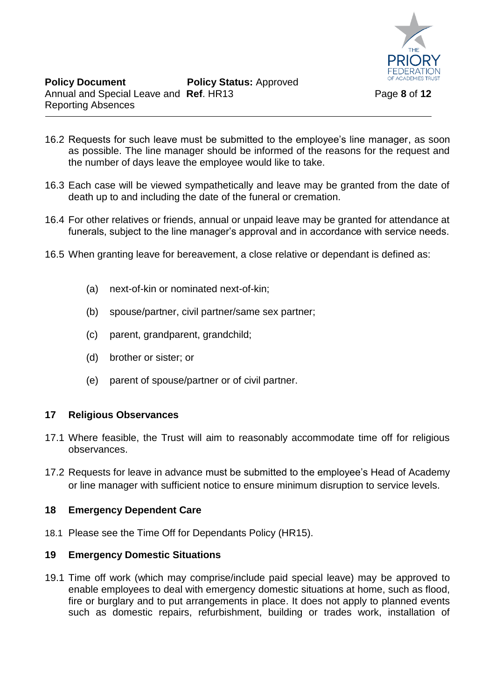

- 16.2 Requests for such leave must be submitted to the employee's line manager, as soon as possible. The line manager should be informed of the reasons for the request and the number of days leave the employee would like to take.
- 16.3 Each case will be viewed sympathetically and leave may be granted from the date of death up to and including the date of the funeral or cremation.
- 16.4 For other relatives or friends, annual or unpaid leave may be granted for attendance at funerals, subject to the line manager's approval and in accordance with service needs.
- 16.5 When granting leave for bereavement, a close relative or dependant is defined as:
	- (a) next-of-kin or nominated next-of-kin;
	- (b) spouse/partner, civil partner/same sex partner;
	- (c) parent, grandparent, grandchild;
	- (d) brother or sister; or
	- (e) parent of spouse/partner or of civil partner.

#### **17 Religious Observances**

- 17.1 Where feasible, the Trust will aim to reasonably accommodate time off for religious observances.
- 17.2 Requests for leave in advance must be submitted to the employee's Head of Academy or line manager with sufficient notice to ensure minimum disruption to service levels.

#### **18 Emergency Dependent Care**

18.1 Please see the Time Off for Dependants Policy (HR15).

#### **19 Emergency Domestic Situations**

19.1 Time off work (which may comprise/include paid special leave) may be approved to enable employees to deal with emergency domestic situations at home, such as flood, fire or burglary and to put arrangements in place. It does not apply to planned events such as domestic repairs, refurbishment, building or trades work, installation of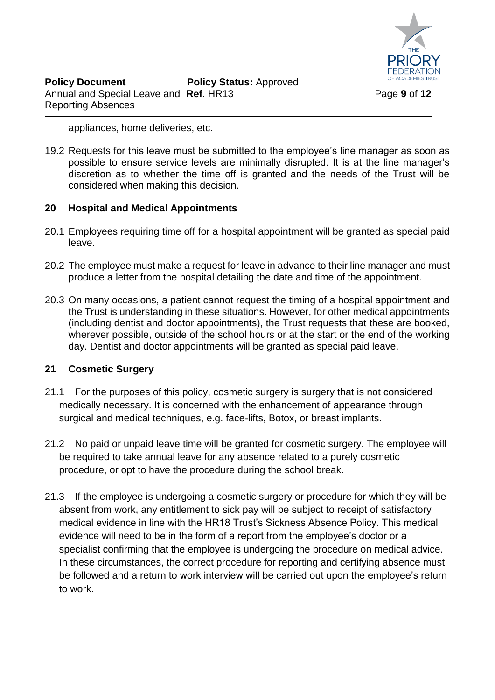

appliances, home deliveries, etc.

19.2 Requests for this leave must be submitted to the employee's line manager as soon as possible to ensure service levels are minimally disrupted. It is at the line manager's discretion as to whether the time off is granted and the needs of the Trust will be considered when making this decision.

# **20 Hospital and Medical Appointments**

- 20.1 Employees requiring time off for a hospital appointment will be granted as special paid leave.
- 20.2 The employee must make a request for leave in advance to their line manager and must produce a letter from the hospital detailing the date and time of the appointment.
- 20.3 On many occasions, a patient cannot request the timing of a hospital appointment and the Trust is understanding in these situations. However, for other medical appointments (including dentist and doctor appointments), the Trust requests that these are booked, wherever possible, outside of the school hours or at the start or the end of the working day. Dentist and doctor appointments will be granted as special paid leave.

# **21 Cosmetic Surgery**

- 21.1 For the purposes of this policy, cosmetic surgery is surgery that is not considered medically necessary. It is concerned with the enhancement of appearance through surgical and medical techniques, e.g. face-lifts, Botox, or breast implants.
- 21.2 No paid or unpaid leave time will be granted for cosmetic surgery. The employee will be required to take annual leave for any absence related to a purely cosmetic procedure, or opt to have the procedure during the school break.
- 21.3 If the employee is undergoing a cosmetic surgery or procedure for which they will be absent from work, any entitlement to sick pay will be subject to receipt of satisfactory medical evidence in line with the HR18 Trust's Sickness Absence Policy. This medical evidence will need to be in the form of a report from the employee's doctor or a specialist confirming that the employee is undergoing the procedure on medical advice. In these circumstances, the correct procedure for reporting and certifying absence must be followed and a return to work interview will be carried out upon the employee's return to work.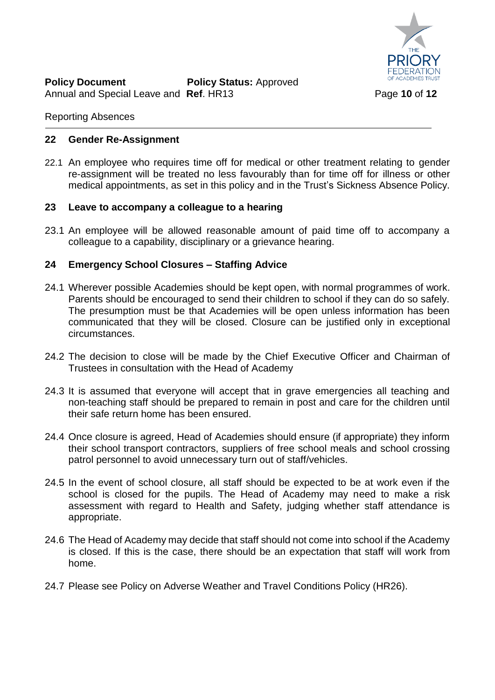

#### Reporting Absences

#### **22 Gender Re-Assignment**

22.1 An employee who requires time off for medical or other treatment relating to gender re-assignment will be treated no less favourably than for time off for illness or other medical appointments, as set in this policy and in the Trust's Sickness Absence Policy.

#### **23 Leave to accompany a colleague to a hearing**

23.1 An employee will be allowed reasonable amount of paid time off to accompany a colleague to a capability, disciplinary or a grievance hearing.

#### **24 Emergency School Closures – Staffing Advice**

- 24.1 Wherever possible Academies should be kept open, with normal programmes of work. Parents should be encouraged to send their children to school if they can do so safely. The presumption must be that Academies will be open unless information has been communicated that they will be closed. Closure can be justified only in exceptional circumstances.
- 24.2 The decision to close will be made by the Chief Executive Officer and Chairman of Trustees in consultation with the Head of Academy
- 24.3 It is assumed that everyone will accept that in grave emergencies all teaching and non-teaching staff should be prepared to remain in post and care for the children until their safe return home has been ensured.
- 24.4 Once closure is agreed, Head of Academies should ensure (if appropriate) they inform their school transport contractors, suppliers of free school meals and school crossing patrol personnel to avoid unnecessary turn out of staff/vehicles.
- 24.5 In the event of school closure, all staff should be expected to be at work even if the school is closed for the pupils. The Head of Academy may need to make a risk assessment with regard to Health and Safety, judging whether staff attendance is appropriate.
- 24.6 The Head of Academy may decide that staff should not come into school if the Academy is closed. If this is the case, there should be an expectation that staff will work from home.
- 24.7 Please see Policy on Adverse Weather and Travel Conditions Policy (HR26).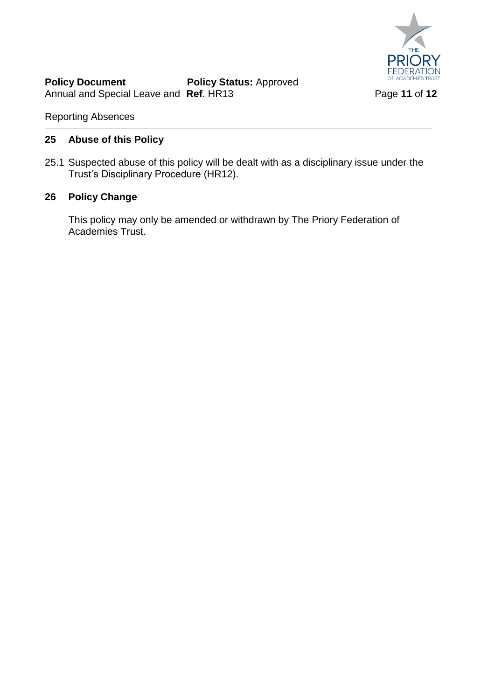

Reporting Absences

# **25 Abuse of this Policy**

25.1 Suspected abuse of this policy will be dealt with as a disciplinary issue under the Trust's Disciplinary Procedure (HR12).

# **26 Policy Change**

This policy may only be amended or withdrawn by The Priory Federation of Academies Trust.